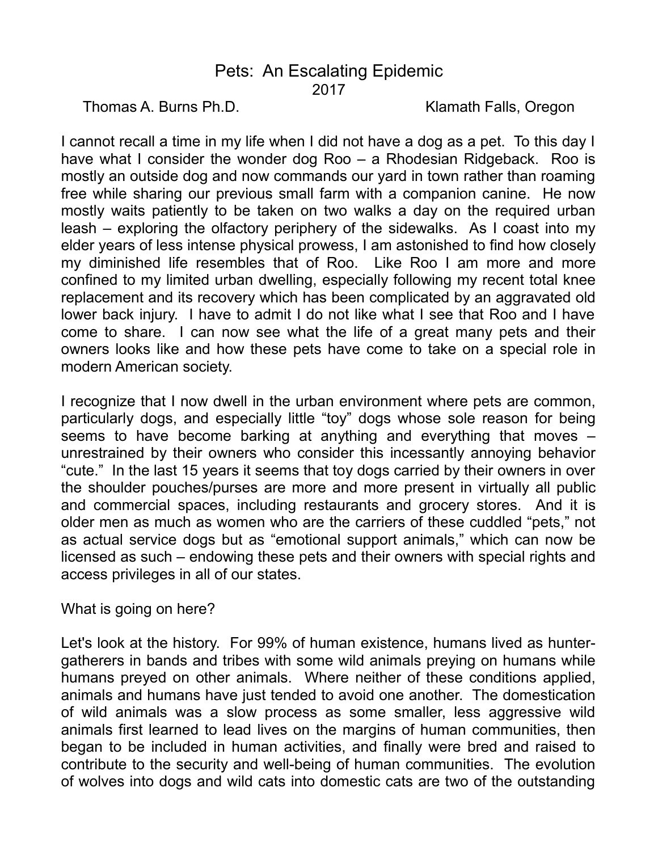## Pets: An Escalating Epidemic 2017

Thomas A. Burns Ph.D. **Klamath Falls, Oregon** 

I cannot recall a time in my life when I did not have a dog as a pet. To this day I have what I consider the wonder dog Roo – a Rhodesian Ridgeback. Roo is mostly an outside dog and now commands our yard in town rather than roaming free while sharing our previous small farm with a companion canine. He now mostly waits patiently to be taken on two walks a day on the required urban leash – exploring the olfactory periphery of the sidewalks. As I coast into my elder years of less intense physical prowess, I am astonished to find how closely my diminished life resembles that of Roo. Like Roo I am more and more confined to my limited urban dwelling, especially following my recent total knee replacement and its recovery which has been complicated by an aggravated old lower back injury. I have to admit I do not like what I see that Roo and I have come to share. I can now see what the life of a great many pets and their owners looks like and how these pets have come to take on a special role in modern American society.

I recognize that I now dwell in the urban environment where pets are common, particularly dogs, and especially little "toy" dogs whose sole reason for being seems to have become barking at anything and everything that moves – unrestrained by their owners who consider this incessantly annoying behavior "cute." In the last 15 years it seems that toy dogs carried by their owners in over the shoulder pouches/purses are more and more present in virtually all public and commercial spaces, including restaurants and grocery stores. And it is older men as much as women who are the carriers of these cuddled "pets," not as actual service dogs but as "emotional support animals," which can now be licensed as such – endowing these pets and their owners with special rights and access privileges in all of our states.

What is going on here?

Let's look at the history. For 99% of human existence, humans lived as huntergatherers in bands and tribes with some wild animals preying on humans while humans preyed on other animals. Where neither of these conditions applied, animals and humans have just tended to avoid one another. The domestication of wild animals was a slow process as some smaller, less aggressive wild animals first learned to lead lives on the margins of human communities, then began to be included in human activities, and finally were bred and raised to contribute to the security and well-being of human communities. The evolution of wolves into dogs and wild cats into domestic cats are two of the outstanding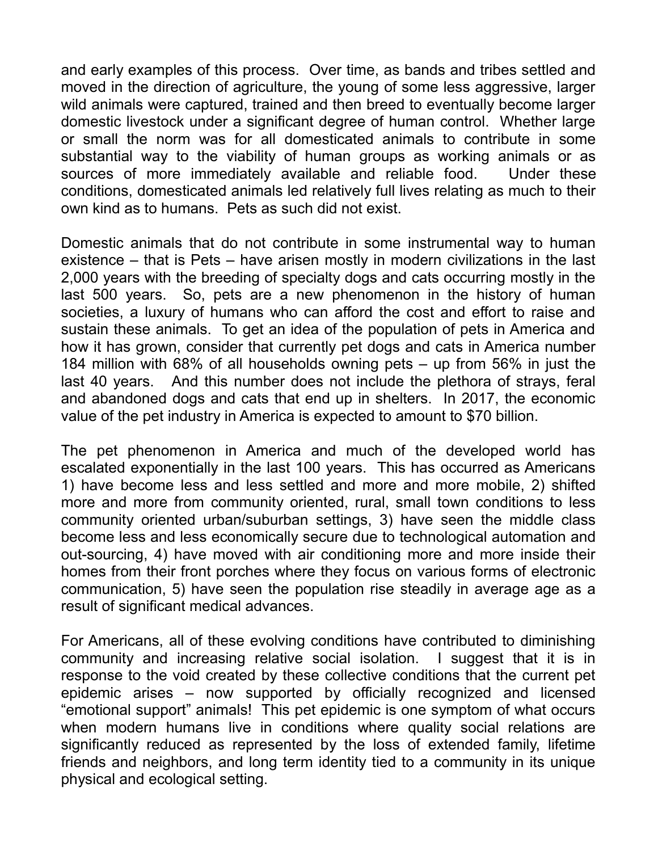and early examples of this process. Over time, as bands and tribes settled and moved in the direction of agriculture, the young of some less aggressive, larger wild animals were captured, trained and then breed to eventually become larger domestic livestock under a significant degree of human control. Whether large or small the norm was for all domesticated animals to contribute in some substantial way to the viability of human groups as working animals or as sources of more immediately available and reliable food. Under these conditions, domesticated animals led relatively full lives relating as much to their own kind as to humans. Pets as such did not exist.

Domestic animals that do not contribute in some instrumental way to human existence – that is Pets – have arisen mostly in modern civilizations in the last 2,000 years with the breeding of specialty dogs and cats occurring mostly in the last 500 years. So, pets are a new phenomenon in the history of human societies, a luxury of humans who can afford the cost and effort to raise and sustain these animals. To get an idea of the population of pets in America and how it has grown, consider that currently pet dogs and cats in America number 184 million with 68% of all households owning pets – up from 56% in just the last 40 years. And this number does not include the plethora of strays, feral and abandoned dogs and cats that end up in shelters. In 2017, the economic value of the pet industry in America is expected to amount to \$70 billion.

The pet phenomenon in America and much of the developed world has escalated exponentially in the last 100 years. This has occurred as Americans 1) have become less and less settled and more and more mobile, 2) shifted more and more from community oriented, rural, small town conditions to less community oriented urban/suburban settings, 3) have seen the middle class become less and less economically secure due to technological automation and out-sourcing, 4) have moved with air conditioning more and more inside their homes from their front porches where they focus on various forms of electronic communication, 5) have seen the population rise steadily in average age as a result of significant medical advances.

For Americans, all of these evolving conditions have contributed to diminishing community and increasing relative social isolation. I suggest that it is in response to the void created by these collective conditions that the current pet epidemic arises – now supported by officially recognized and licensed "emotional support" animals! This pet epidemic is one symptom of what occurs when modern humans live in conditions where quality social relations are significantly reduced as represented by the loss of extended family, lifetime friends and neighbors, and long term identity tied to a community in its unique physical and ecological setting.